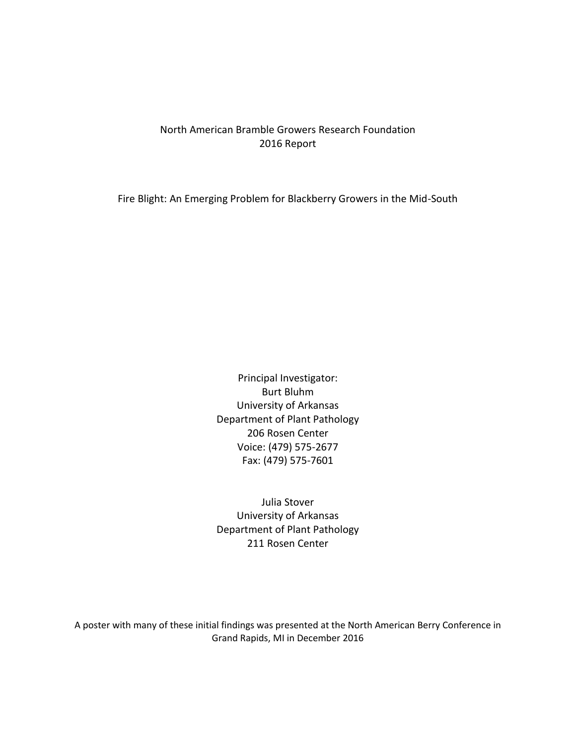## North American Bramble Growers Research Foundation 2016 Report

Fire Blight: An Emerging Problem for Blackberry Growers in the Mid-South

Principal Investigator: Burt Bluhm University of Arkansas Department of Plant Pathology 206 Rosen Center Voice: (479) 575-2677 Fax: (479) 575-7601

Julia Stover University of Arkansas Department of Plant Pathology 211 Rosen Center

A poster with many of these initial findings was presented at the North American Berry Conference in Grand Rapids, MI in December 2016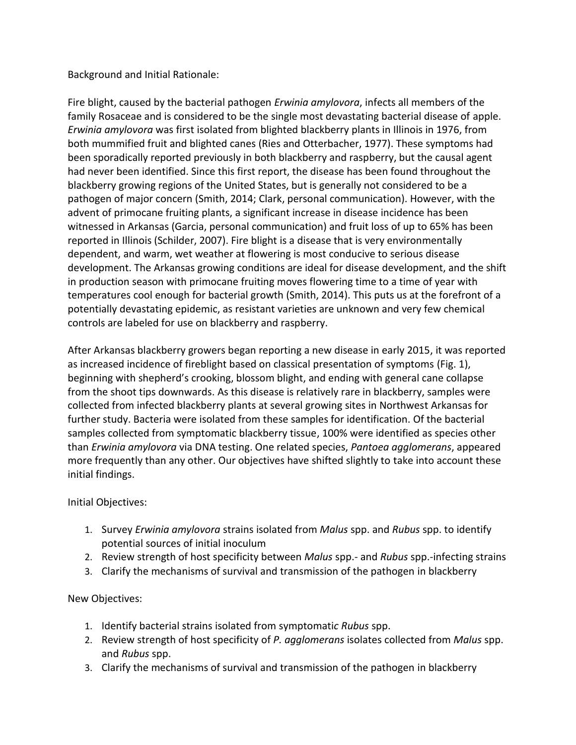Background and Initial Rationale:

Fire blight, caused by the bacterial pathogen *Erwinia amylovora*, infects all members of the family Rosaceae and is considered to be the single most devastating bacterial disease of apple. *Erwinia amylovora* was first isolated from blighted blackberry plants in Illinois in 1976, from both mummified fruit and blighted canes (Ries and Otterbacher, 1977). These symptoms had been sporadically reported previously in both blackberry and raspberry, but the causal agent had never been identified. Since this first report, the disease has been found throughout the blackberry growing regions of the United States, but is generally not considered to be a pathogen of major concern (Smith, 2014; Clark, personal communication). However, with the advent of primocane fruiting plants, a significant increase in disease incidence has been witnessed in Arkansas (Garcia, personal communication) and fruit loss of up to 65% has been reported in Illinois (Schilder, 2007). Fire blight is a disease that is very environmentally dependent, and warm, wet weather at flowering is most conducive to serious disease development. The Arkansas growing conditions are ideal for disease development, and the shift in production season with primocane fruiting moves flowering time to a time of year with temperatures cool enough for bacterial growth (Smith, 2014). This puts us at the forefront of a potentially devastating epidemic, as resistant varieties are unknown and very few chemical controls are labeled for use on blackberry and raspberry.

After Arkansas blackberry growers began reporting a new disease in early 2015, it was reported as increased incidence of fireblight based on classical presentation of symptoms (Fig. 1), beginning with shepherd's crooking, blossom blight, and ending with general cane collapse from the shoot tips downwards. As this disease is relatively rare in blackberry, samples were collected from infected blackberry plants at several growing sites in Northwest Arkansas for further study. Bacteria were isolated from these samples for identification. Of the bacterial samples collected from symptomatic blackberry tissue, 100% were identified as species other than *Erwinia amylovora* via DNA testing. One related species, *Pantoea agglomerans*, appeared more frequently than any other. Our objectives have shifted slightly to take into account these initial findings.

Initial Objectives:

- 1. Survey *Erwinia amylovora* strains isolated from *Malus* spp. and *Rubus* spp. to identify potential sources of initial inoculum
- 2. Review strength of host specificity between *Malus* spp.- and *Rubus* spp.-infecting strains
- 3. Clarify the mechanisms of survival and transmission of the pathogen in blackberry

# New Objectives:

- 1. Identify bacterial strains isolated from symptomati*c Rubus* spp.
- 2. Review strength of host specificity of *P. agglomerans* isolates collected from *Malus* spp. and *Rubus* spp.
- 3. Clarify the mechanisms of survival and transmission of the pathogen in blackberry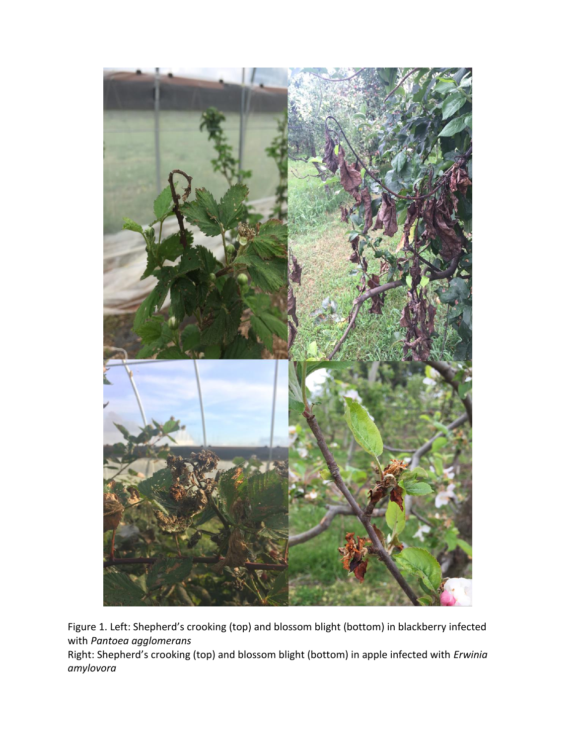

Figure 1. Left: Shepherd's crooking (top) and blossom blight (bottom) in blackberry infected with *Pantoea agglomerans*

Right: Shepherd's crooking (top) and blossom blight (bottom) in apple infected with *Erwinia amylovora*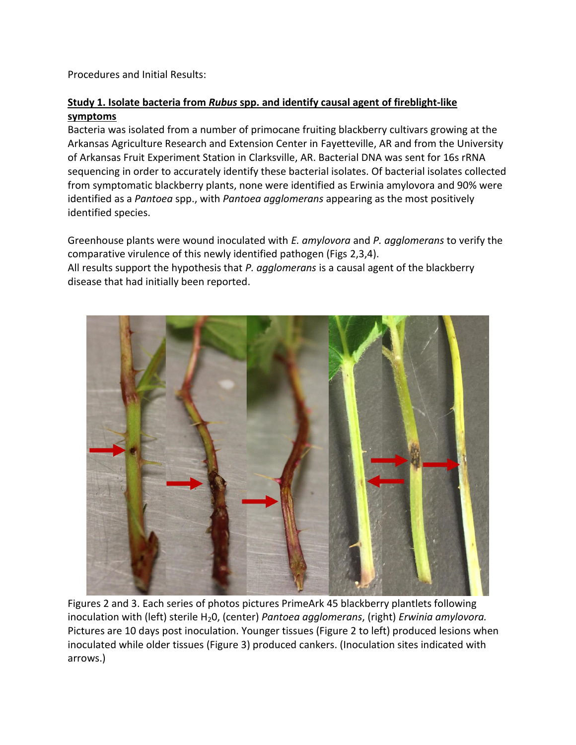Procedures and Initial Results:

## **Study 1. Isolate bacteria from** *Rubus* **spp. and identify causal agent of fireblight-like symptoms**

Bacteria was isolated from a number of primocane fruiting blackberry cultivars growing at the Arkansas Agriculture Research and Extension Center in Fayetteville, AR and from the University of Arkansas Fruit Experiment Station in Clarksville, AR. Bacterial DNA was sent for 16s rRNA sequencing in order to accurately identify these bacterial isolates. Of bacterial isolates collected from symptomatic blackberry plants, none were identified as Erwinia amylovora and 90% were identified as a *Pantoea* spp., with *Pantoea agglomerans* appearing as the most positively identified species.

Greenhouse plants were wound inoculated with *E. amylovora* and *P. agglomerans* to verify the comparative virulence of this newly identified pathogen (Figs 2,3,4). All results support the hypothesis that *P. agglomerans* is a causal agent of the blackberry disease that had initially been reported.



Figures 2 and 3. Each series of photos pictures PrimeArk 45 blackberry plantlets following inoculation with (left) sterile H<sub>2</sub>0, (center) *Pantoea agglomerans*, (right) *Erwinia amylovora.* Pictures are 10 days post inoculation. Younger tissues (Figure 2 to left) produced lesions when inoculated while older tissues (Figure 3) produced cankers. (Inoculation sites indicated with arrows.)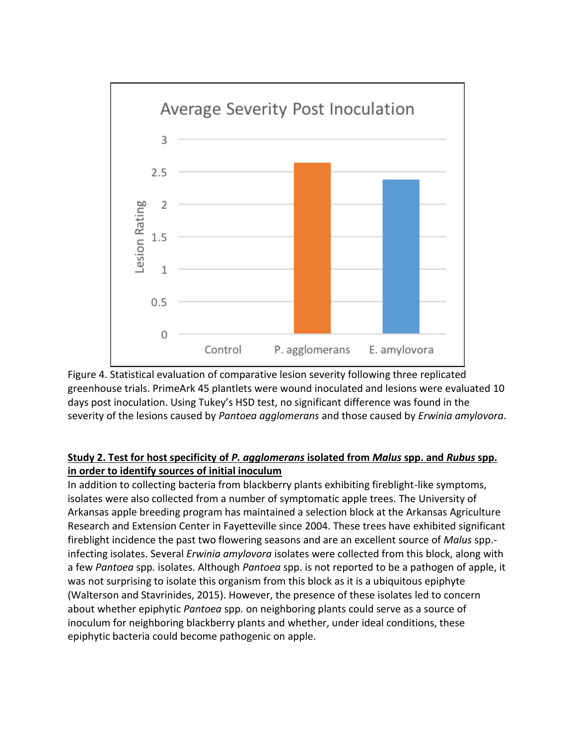

Figure 4. Statistical evaluation of comparative lesion severity following three replicated greenhouse trials. PrimeArk 45 plantlets were wound inoculated and lesions were evaluated 10 days post inoculation. Using Tukey's HSD test, no significant difference was found in the severity of the lesions caused by *Pantoea agglomerans* and those caused by *Erwinia amylovora*.

#### **Study 2. Test for host specificity of** *P. agglomerans* **isolated from** *Malus* **spp. and** *Rubus* **spp. in order to identify sources of initial inoculum**

In addition to collecting bacteria from blackberry plants exhibiting fireblight-like symptoms, isolates were also collected from a number of symptomatic apple trees. The University of Arkansas apple breeding program has maintained a selection block at the Arkansas Agriculture Research and Extension Center in Fayetteville since 2004. These trees have exhibited significant fireblight incidence the past two flowering seasons and are an excellent source of *Malus* spp. infecting isolates. Several *Erwinia amylovora* isolates were collected from this block, along with a few *Pantoea* spp*.* isolates. Although *Pantoea* spp. is not reported to be a pathogen of apple, it was not surprising to isolate this organism from this block as it is a ubiquitous epiphyte (Walterson and Stavrinides, 2015). However, the presence of these isolates led to concern about whether epiphytic *Pantoea* spp*.* on neighboring plants could serve as a source of inoculum for neighboring blackberry plants and whether, under ideal conditions, these epiphytic bacteria could become pathogenic on apple.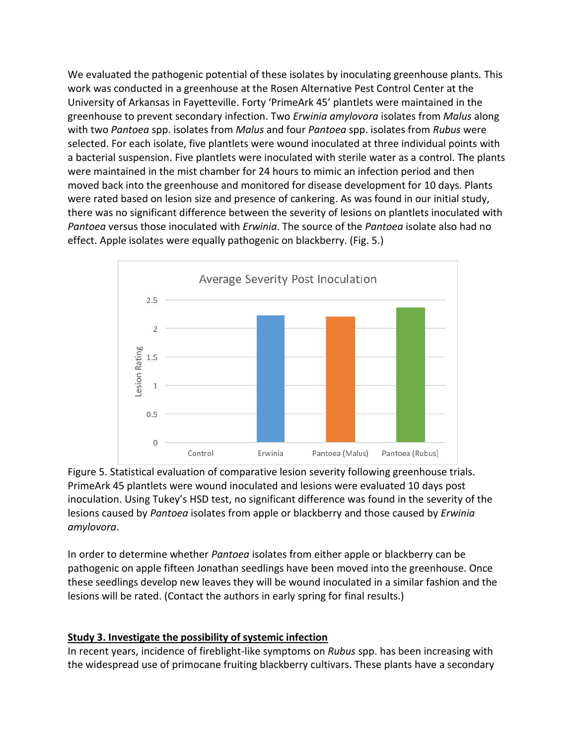We evaluated the pathogenic potential of these isolates by inoculating greenhouse plants. This work was conducted in a greenhouse at the Rosen Alternative Pest Control Center at the University of Arkansas in Fayetteville. Forty 'PrimeArk 45' plantlets were maintained in the greenhouse to prevent secondary infection. Two *Erwinia amylovora* isolates from *Malus* along with two *Pantoea* spp. isolates from *Malus* and four *Pantoea* spp. isolates from *Rubus* were selected. For each isolate, five plantlets were wound inoculated at three individual points with a bacterial suspension. Five plantlets were inoculated with sterile water as a control. The plants were maintained in the mist chamber for 24 hours to mimic an infection period and then moved back into the greenhouse and monitored for disease development for 10 days. Plants were rated based on lesion size and presence of cankering. As was found in our initial study, there was no significant difference between the severity of lesions on plantlets inoculated with *Pantoea* versus those inoculated with *Erwinia*. The source of the *Pantoea* isolate also had no effect. Apple isolates were equally pathogenic on blackberry. (Fig. 5.)



Figure 5. Statistical evaluation of comparative lesion severity following greenhouse trials. PrimeArk 45 plantlets were wound inoculated and lesions were evaluated 10 days post inoculation. Using Tukey's HSD test, no significant difference was found in the severity of the lesions caused by *Pantoea* isolates from apple or blackberry and those caused by *Erwinia amylovora*.

In order to determine whether *Pantoea* isolates from either apple or blackberry can be pathogenic on apple fifteen Jonathan seedlings have been moved into the greenhouse. Once these seedlings develop new leaves they will be wound inoculated in a similar fashion and the lesions will be rated. (Contact the authors in early spring for final results.)

## **Study 3. Investigate the possibility of systemic infection**

In recent years, incidence of fireblight-like symptoms on *Rubus* spp. has been increasing with the widespread use of primocane fruiting blackberry cultivars. These plants have a secondary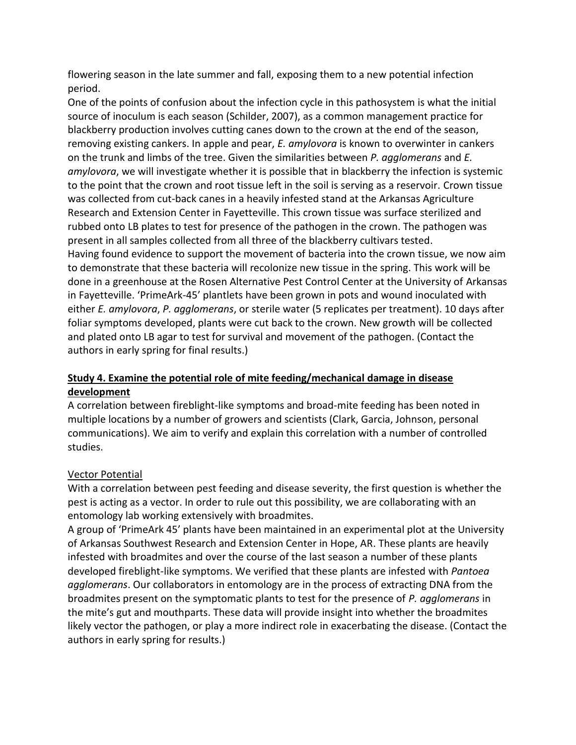flowering season in the late summer and fall, exposing them to a new potential infection period.

One of the points of confusion about the infection cycle in this pathosystem is what the initial source of inoculum is each season (Schilder, 2007), as a common management practice for blackberry production involves cutting canes down to the crown at the end of the season, removing existing cankers. In apple and pear, *E. amylovora* is known to overwinter in cankers on the trunk and limbs of the tree. Given the similarities between *P. agglomerans* and *E. amylovora*, we will investigate whether it is possible that in blackberry the infection is systemic to the point that the crown and root tissue left in the soil is serving as a reservoir. Crown tissue was collected from cut-back canes in a heavily infested stand at the Arkansas Agriculture Research and Extension Center in Fayetteville. This crown tissue was surface sterilized and rubbed onto LB plates to test for presence of the pathogen in the crown. The pathogen was present in all samples collected from all three of the blackberry cultivars tested. Having found evidence to support the movement of bacteria into the crown tissue, we now aim to demonstrate that these bacteria will recolonize new tissue in the spring. This work will be done in a greenhouse at the Rosen Alternative Pest Control Center at the University of Arkansas in Fayetteville. 'PrimeArk-45' plantlets have been grown in pots and wound inoculated with either *E. amylovora*, *P. agglomerans*, or sterile water (5 replicates per treatment). 10 days after foliar symptoms developed, plants were cut back to the crown. New growth will be collected and plated onto LB agar to test for survival and movement of the pathogen. (Contact the authors in early spring for final results.)

# **Study 4. Examine the potential role of mite feeding/mechanical damage in disease development**

A correlation between fireblight-like symptoms and broad-mite feeding has been noted in multiple locations by a number of growers and scientists (Clark, Garcia, Johnson, personal communications). We aim to verify and explain this correlation with a number of controlled studies.

## Vector Potential

With a correlation between pest feeding and disease severity, the first question is whether the pest is acting as a vector. In order to rule out this possibility, we are collaborating with an entomology lab working extensively with broadmites.

A group of 'PrimeArk 45' plants have been maintained in an experimental plot at the University of Arkansas Southwest Research and Extension Center in Hope, AR. These plants are heavily infested with broadmites and over the course of the last season a number of these plants developed fireblight-like symptoms. We verified that these plants are infested with *Pantoea agglomerans*. Our collaborators in entomology are in the process of extracting DNA from the broadmites present on the symptomatic plants to test for the presence of *P. agglomerans* in the mite's gut and mouthparts. These data will provide insight into whether the broadmites likely vector the pathogen, or play a more indirect role in exacerbating the disease. (Contact the authors in early spring for results.)